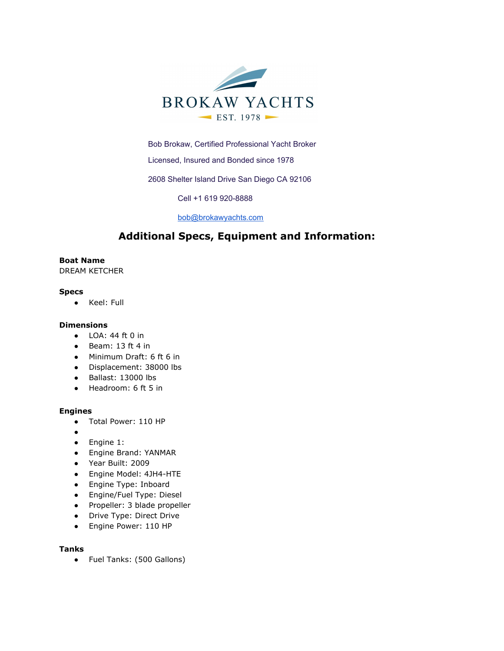

Bob Brokaw, Certified Professional Yacht Broker

Licensed, Insured and Bonded since 1978

2608 Shelter Island Drive San Diego CA 92106

Cell +1 619 920-8888

[bob@brokawyachts.com](mailto:bob@brokawyachts.com)

# **Additional Specs, Equipment and Information:**

### **Boat Name**

DREAM KETCHER

### **Specs**

● Keel: Full

### **Dimensions**

- LOA: 44 ft 0 in
- Beam: 13 ft 4 in
- Minimum Draft: 6 ft 6 in
- Displacement: 38000 lbs
- Ballast: 13000 lbs
- Headroom: 6 ft 5 in

#### **Engines**

- Total Power: 110 HP
- ●
- Engine 1:
- Engine Brand: YANMAR
- Year Built: 2009
- Engine Model: 4JH4-HTE
- Engine Type: Inboard
- Engine/Fuel Type: Diesel
- Propeller: 3 blade propeller
- Drive Type: Direct Drive
- Engine Power: 110 HP

#### **Tanks**

● Fuel Tanks: (500 Gallons)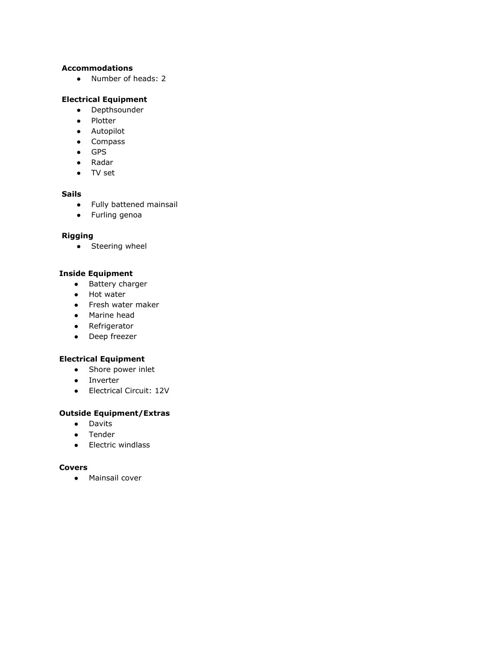# **Accommodations**

● Number of heads: 2

# **Electrical Equipment**

- Depthsounder
- Plotter
- Autopilot
- Compass
- GPS
- Radar
- TV set

#### **Sails**

- Fully battened mainsail
- Furling genoa

# **Rigging**

• Steering wheel

## **Inside Equipment**

- Battery charger
- Hot water
- Fresh water maker
- Marine head
- Refrigerator
- Deep freezer

# **Electrical Equipment**

- Shore power inlet
- Inverter
- Electrical Circuit: 12V

# **Outside Equipment/Extras**

- Davits
- Tender
- Electric windlass

### **Covers**

● Mainsail cover